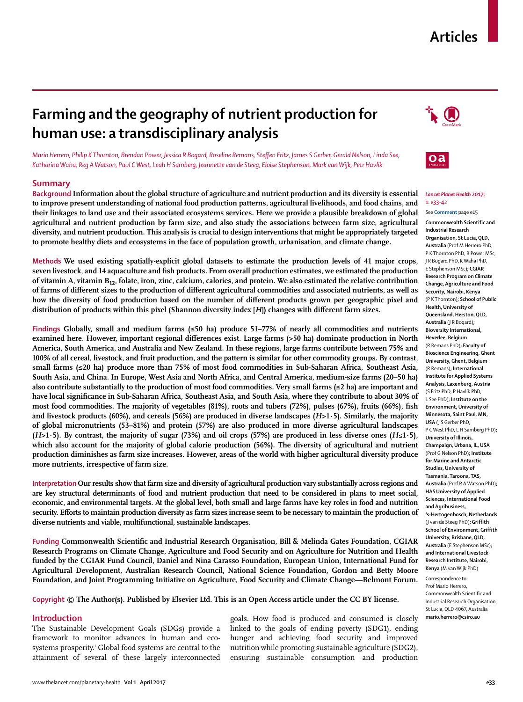# **Articles**

# **Farming and the geography of nutrient production for human use: a transdisciplinary analysis**



# *Mario Herrero, Philip K Thornton, Brendan Power, Jessica R Bogard, Roseline Remans, Steffen Fritz, James S Gerber, Gerald Nelson, Linda See, Katharina Waha, Reg A Watson, Paul C West, Leah H Samberg, Jeannette van de Steeg, Eloise Stephenson, Mark van Wijk, Petr Havlík*

# **Summary**

**Background Information about the global structure of agriculture and nutrient production and its diversity is essential to improve present understanding of national food production patterns, agricultural livelihoods, and food chains, and their linkages to land use and their associated ecosystems services. Here we provide a plausible breakdown of global agricultural and nutrient production by farm size, and also study the associations between farm size, agricultural diversity, and nutrient production. This analysis is crucial to design interventions that might be appropriately targeted to promote healthy diets and ecosystems in the face of population growth, urbanisation, and climate change.** 

**Methods We used existing spatially-explicit global datasets to estimate the production levels of 41 major crops, seven livestock, and 14 aquaculture and fish products. From overall production estimates, we estimated the production of vitamin A, vitamin B₁₂, folate, iron, zinc, calcium, calories, and protein. We also estimated the relative contribution of farms of different sizes to the production of different agricultural commodities and associated nutrients, as well as how the diversity of food production based on the number of different products grown per geographic pixel and distribution of products within this pixel (Shannon diversity index [***H***]) changes with different farm sizes.**

**Findings Globally, small and medium farms (≤50 ha) produce 51–77% of nearly all commodities and nutrients examined here. However, important regional differences exist. Large farms (>50 ha) dominate production in North America, South America, and Australia and New Zealand. In these regions, large farms contribute between 75% and 100% of all cereal, livestock, and fruit production, and the pattern is similar for other commodity groups. By contrast, small farms (≤20 ha) produce more than 75% of most food commodities in Sub-Saharan Africa, Southeast Asia, South Asia, and China. In Europe, West Asia and North Africa, and Central America, medium-size farms (20–50 ha) also contribute substantially to the production of most food commodities. Very small farms (≤2 ha) are important and have local significance in Sub-Saharan Africa, Southeast Asia, and South Asia, where they contribute to about 30% of most food commodities. The majority of vegetables (81%), roots and tubers (72%), pulses (67%), fruits (66%), fish and livestock products (60%), and cereals (56%) are produced in diverse landscapes (***H***>1·5). Similarly, the majority of global micronutrients (53–81%) and protein (57%) are also produced in more diverse agricultural landscapes**  ( $H$ **>1**·5). By contrast, the majority of sugar (73%) and oil crops (57%) are produced in less diverse ones ( $H$ ≤**1**·5), **which also account for the majority of global calorie production (56%). The diversity of agricultural and nutrient production diminishes as farm size increases. However, areas of the world with higher agricultural diversity produce more nutrients, irrespective of farm size.**

**Interpretation Our results show that farm size and diversity of agricultural production vary substantially across regions and are key structural determinants of food and nutrient production that need to be considered in plans to meet social, economic, and environmental targets. At the global level, both small and large farms have key roles in food and nutrition security. Efforts to maintain production diversity as farm sizes increase seem to be necessary to maintain the production of diverse nutrients and viable, multifunctional, sustainable landscapes.**

**Funding Commonwealth Scientific and Industrial Research Organisation, Bill & Melinda Gates Foundation, CGIAR Research Programs on Climate Change, Agriculture and Food Security and on Agriculture for Nutrition and Health funded by the CGIAR Fund Council, Daniel and Nina Carasso Foundation, European Union, International Fund for Agricultural Development, Australian Research Council, National Science Foundation, Gordon and Betty Moore Foundation, and Joint Programming Initiative on Agriculture, Food Security and Climate Change—Belmont Forum.** 

**Copyright © The Author(s). Published by Elsevier Ltd. This is an Open Access article under the CC BY license.**

# **Introduction**

The Sustainable Development Goals (SDGs) provide a framework to monitor advances in human and ecosystems prosperity.1 Global food systems are central to the attainment of several of these largely interconnected

goals. How food is produced and consumed is closely linked to the goals of ending poverty (SDG1), ending hunger and achieving food security and improved nutrition while promoting sustainable agriculture (SDG2), ensuring sustainable consumption and production

#### *Lancet Planet Health* **2017; 1: e33–42**

See **Comment** page e15

**Commonwealth Scientific and Industrial Research Organisation, St Lucia, QLD, Australia** (Prof M Herrero PhD, P K Thornton PhD, B Power MSc, J R Bogard PhD, K Waha PhD, E Stephenson MSc)**; CGIAR Research Program on Climate Change, Agriculture and Food Security, Nairobi, Kenya**  (P K Thornton)**; School of Public Health, University of Queensland, Herston, QLD, Australia** (J R Bogard)**; Bioversity International, Heverlee, Belgium**  (R Remans PhD)**; Faculty of Bioscience Engineering, Ghent University, Ghent, Belgium**  (R Remans)**; International Institute for Applied Systems Analysis, Laxenburg, Austria**  (S Fritz PhD, P Havlík PhD, L See PhD)**; Institute on the Environment, University of Minnesota, Saint Paul, MN, USA** (J S Gerber PhD, P C West PhD, L H Samberg PhD)**; University of Illinois, Champaign, Urbana, IL, USA**  (Prof G Nelson PhD)**; Institute for Marine and Antarctic Studies, University of Tasmania, Taroona, TAS, Australia** (Prof R A Watson PhD)**; HAS University of Applied Sciences, International Food and Agribusiness, 's-Hertogenbosch, Netherlands**  (J van de Steeg PhD)**; Griffith** 

**School of Environment, Griffith University, Brisbane, QLD, Australia** (E Stephenson MSc)**; and International Livestock Research Institute, Nairobi, Kenya** (M van Wijk PhD)

Correspondence to: Prof Mario Herrero, Commonwealth Scientific and Industrial Research Organisation, St Lucia, QLD 4067, Australia **mario.herrero@csiro.au**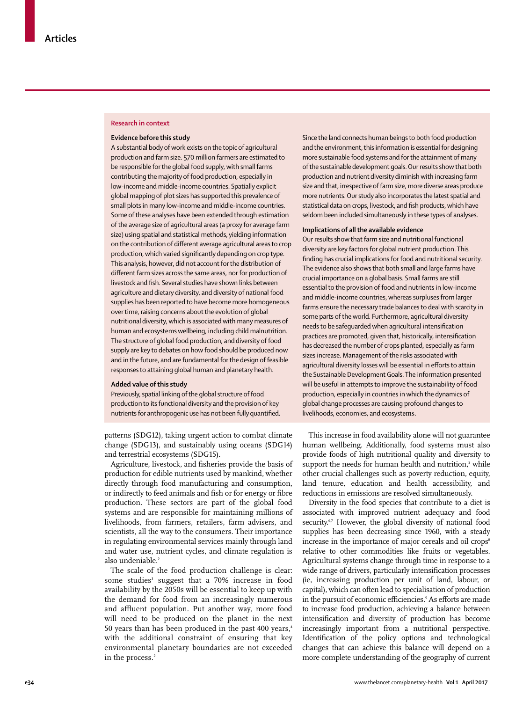#### **Research in context**

#### **Evidence before this study**

A substantial body of work exists on the topic of agricultural production and farm size. 570 million farmers are estimated to be responsible for the global food supply, with small farms contributing the majority of food production, especially in low-income and middle-income countries. Spatially explicit global mapping of plot sizes has supported this prevalence of small plots in many low-income and middle-income countries. Some of these analyses have been extended through estimation of the average size of agricultural areas (a proxy for average farm size) using spatial and statistical methods, yielding information on the contribution of different average agricultural areas to crop production, which varied significantly depending on crop type. This analysis, however, did not account for the distribution of different farm sizes across the same areas, nor for production of livestock and fish. Several studies have shown links between agriculture and dietary diversity, and diversity of national food supplies has been reported to have become more homogeneous over time, raising concerns about the evolution of global nutritional diversity, which is associated with many measures of human and ecosystems wellbeing, including child malnutrition. The structure of global food production, and diversity of food supply are key to debates on how food should be produced now and in the future, and are fundamental for the design of feasible responses to attaining global human and planetary health.

#### **Added value of this study**

Previously, spatial linking of the global structure of food production to its functional diversity and the provision of key nutrients for anthropogenic use has not been fully quantified.

patterns (SDG12), taking urgent action to combat climate change (SDG13), and sustainably using oceans (SDG14) and terrestrial ecosystems (SDG15).

Agriculture, livestock, and fisheries provide the basis of production for edible nutrients used by mankind, whether directly through food manufacturing and consumption, or indirectly to feed animals and fish or for energy or fibre production. These sectors are part of the global food systems and are responsible for maintaining millions of livelihoods, from farmers, retailers, farm advisers, and scientists, all the way to the consumers. Their importance in regulating environmental services mainly through land and water use, nutrient cycles, and climate regulation is also undeniable<sup>2</sup>

The scale of the food production challenge is clear: some studies<sup>3</sup> suggest that a 70% increase in food availability by the 2050s will be essential to keep up with the demand for food from an increasingly numerous and affluent population. Put another way, more food will need to be produced on the planet in the next 50 years than has been produced in the past 400 years,<sup>4</sup> with the additional constraint of ensuring that key environmental planetary boundaries are not exceeded in the process.<sup>2</sup>

Since the land connects human beings to both food production and the environment, this information is essential for designing more sustainable food systems and for the attainment of many of the sustainable development goals. Our results show that both production and nutrient diversity diminish with increasing farm size and that, irrespective of farm size, more diverse areas produce more nutrients. Our study also incorporates the latest spatial and statistical data on crops, livestock, and fish products, which have seldom been included simultaneously in these types of analyses.

#### **Implications of all the available evidence**

Our results show that farm size and nutritional functional diversity are key factors for global nutrient production. This finding has crucial implications for food and nutritional security. The evidence also shows that both small and large farms have crucial importance on a global basis. Small farms are still essential to the provision of food and nutrients in low-income and middle-income countries, whereas surpluses from larger farms ensure the necessary trade balances to deal with scarcity in some parts of the world. Furthermore, agricultural diversity needs to be safeguarded when agricultural intensification practices are promoted, given that, historically, intensification has decreased the number of crops planted, especially as farm sizes increase. Management of the risks associated with agricultural diversity losses will be essential in efforts to attain the Sustainable Development Goals. The information presented will be useful in attempts to improve the sustainability of food production, especially in countries in which the dynamics of global change processes are causing profound changes to livelihoods, economies, and ecosystems.

This increase in food availability alone will not guarantee human wellbeing. Additionally, food systems must also provide foods of high nutritional quality and diversity to support the needs for human health and nutrition,<sup>5</sup> while other crucial challenges such as poverty reduction, equity, land tenure, education and health accessibility, and reductions in emissions are resolved simultaneously.

Diversity in the food species that contribute to a diet is associated with improved nutrient adequacy and food security.<sup>6,7</sup> However, the global diversity of national food supplies has been decreasing since 1960, with a steady increase in the importance of major cereals and oil crops<sup>8</sup> relative to other commodities like fruits or vegetables. Agricultural systems change through time in response to a wide range of drivers, particularly intensification processes (ie, increasing production per unit of land, labour, or capital), which can often lead to specialisation of production in the pursuit of economic efficiencies.<sup>9</sup> As efforts are made to increase food production, achieving a balance between intensification and diversity of production has become increasingly important from a nutritional perspective. Identification of the policy options and technological changes that can achieve this balance will depend on a more complete understanding of the geography of current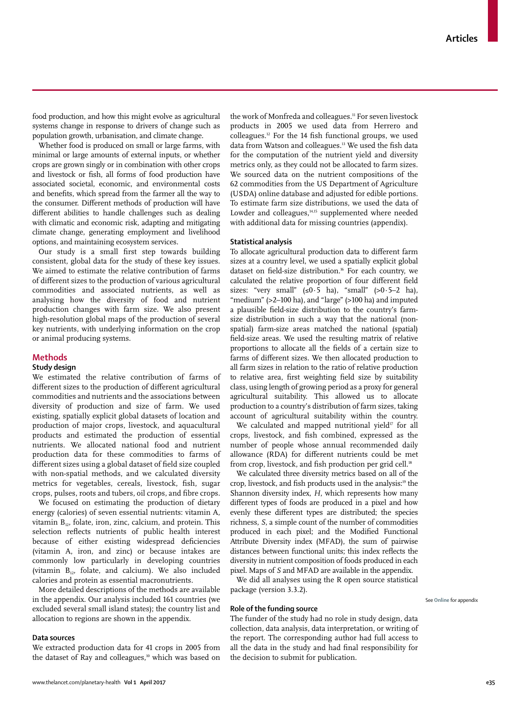food production, and how this might evolve as agricultural systems change in response to drivers of change such as population growth, urbanisation, and climate change.

Whether food is produced on small or large farms, with minimal or large amounts of external inputs, or whether crops are grown singly or in combination with other crops and livestock or fish, all forms of food production have associated societal, economic, and environmental costs and benefits, which spread from the farmer all the way to the consumer. Different methods of production will have different abilities to handle challenges such as dealing with climatic and economic risk, adapting and mitigating climate change, generating employment and livelihood options, and maintaining ecosystem services.

Our study is a small first step towards building consistent, global data for the study of these key issues. We aimed to estimate the relative contribution of farms of different sizes to the production of various agricultural commodities and associated nutrients, as well as analysing how the diversity of food and nutrient production changes with farm size. We also present high-resolution global maps of the production of several key nutrients, with underlying information on the crop or animal producing systems.

## **Methods**

# **Study design**

We estimated the relative contribution of farms of different sizes to the production of different agricultural commodities and nutrients and the associations between diversity of production and size of farm. We used existing, spatially explicit global datasets of location and production of major crops, livestock, and aquacultural products and estimated the production of essential nutrients. We allocated national food and nutrient production data for these commodities to farms of different sizes using a global dataset of field size coupled with non-spatial methods, and we calculated diversity metrics for vegetables, cereals, livestock, fish, sugar crops, pulses, roots and tubers, oil crops, and fibre crops.

We focused on estimating the production of dietary energy (calories) of seven essential nutrients: vitamin A, vitamin  $B_{12}$ , folate, iron, zinc, calcium, and protein. This selection reflects nutrients of public health interest because of either existing widespread deficiencies (vitamin A, iron, and zinc) or because intakes are commonly low particularly in developing countries (vitamin  $B_{12}$ , folate, and calcium). We also included calories and protein as essential macronutrients.

More detailed descriptions of the methods are available in the appendix. Our analysis included 161 countries (we excluded several small island states); the country list and allocation to regions are shown in the appendix.

#### **Data sources**

We extracted production data for 41 crops in 2005 from the dataset of Ray and colleagues,<sup>10</sup> which was based on the work of Monfreda and colleagues.<sup>11</sup> For seven livestock products in 2005 we used data from Herrero and colleagues.12 For the 14 fish functional groups, we used data from Watson and colleagues.13 We used the fish data for the computation of the nutrient yield and diversity metrics only, as they could not be allocated to farm sizes. We sourced data on the nutrient compositions of the 62 commodities from the US Department of Agriculture (USDA) online database and adjusted for edible portions. To estimate farm size distributions, we used the data of Lowder and colleagues,<sup>14,15</sup> supplemented where needed with additional data for missing countries (appendix).

## **Statistical analysis**

To allocate agricultural production data to different farm sizes at a country level, we used a spatially explicit global dataset on field-size distribution.<sup>16</sup> For each country, we calculated the relative proportion of four different field sizes: "very small" (≤0.5 ha), "small" (>0.5-2 ha), "medium" (>2–100 ha), and "large" (>100 ha) and imputed a plausible field-size distribution to the country's farmsize distribution in such a way that the national (nonspatial) farm-size areas matched the national (spatial) field-size areas. We used the resulting matrix of relative proportions to allocate all the fields of a certain size to farms of different sizes. We then allocated production to all farm sizes in relation to the ratio of relative production to relative area, first weighting field size by suitability class, using length of growing period as a proxy for general agricultural suitability. This allowed us to allocate production to a country's distribution of farm sizes, taking account of agricultural suitability within the country.

We calculated and mapped nutritional yield $\mathbf{r}$  for all crops, livestock, and fish combined, expressed as the number of people whose annual recommended daily allowance (RDA) for different nutrients could be met from crop, livestock, and fish production per grid cell.<sup>18</sup>

We calculated three diversity metrics based on all of the crop, livestock, and fish products used in the analysis:19 the Shannon diversity index, *H*, which represents how many different types of foods are produced in a pixel and how evenly these different types are distributed; the species richness, *S*, a simple count of the number of commodities produced in each pixel; and the Modified Functional Attribute Diversity index (MFAD), the sum of pairwise distances between functional units; this index reflects the diversity in nutrient composition of foods produced in each pixel. Maps of *S* and MFAD are available in the appendix.

We did all analyses using the R open source statistical package (version 3.3.2).

#### **Role of the funding source**

The funder of the study had no role in study design, data collection, data analysis, data interpretation, or writing of the report. The corresponding author had full access to all the data in the study and had final responsibility for the decision to submit for publication.

See **Online** for appendix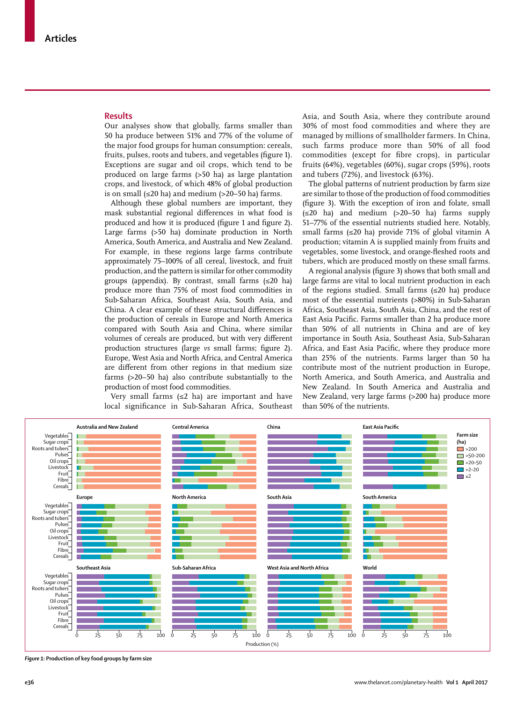## **Results**

Our analyses show that globally, farms smaller than 50 ha produce between 51% and 77% of the volume of the major food groups for human consumption: cereals, fruits, pulses, roots and tubers, and vegetables (figure 1). Exceptions are sugar and oil crops, which tend to be produced on large farms (>50 ha) as large plantation crops, and livestock, of which 48% of global production is on small  $(\leq 20 \text{ ha})$  and medium  $(>20-50 \text{ ha})$  farms.

Although these global numbers are important, they mask substantial regional differences in what food is produced and how it is produced (figure 1 and figure 2). Large farms (>50 ha) dominate production in North America, South America, and Australia and New Zealand. For example, in these regions large farms contribute approximately 75–100% of all cereal, livestock, and fruit production, and the pattern is similar for other commodity groups (appendix). By contrast, small farms  $(\leq 20$  ha) produce more than 75% of most food commodities in Sub-Saharan Africa, Southeast Asia, South Asia, and China. A clear example of these structural differences is the production of cereals in Europe and North America compared with South Asia and China, where similar volumes of cereals are produced, but with very different production structures (large *vs* small farms; figure 2). Europe, West Asia and North Africa, and Central America are different from other regions in that medium size farms (>20−50 ha) also contribute substantially to the production of most food commodities.

Very small farms  $(\leq 2$  ha) are important and have local significance in Sub-Saharan Africa, Southeast Asia, and South Asia, where they contribute around 30% of most food commodities and where they are managed by millions of smallholder farmers. In China, such farms produce more than 50% of all food commodities (except for fibre crops), in particular fruits (64%), vegetables (60%), sugar crops (59%), roots and tubers (72%), and livestock (63%).

The global patterns of nutrient production by farm size are similar to those of the production of food commodities (figure 3). With the exception of iron and folate, small  $(\leq 20$  ha) and medium (>20–50 ha) farms supply 51−77% of the essential nutrients studied here. Notably, small farms  $(\leq 20$  ha) provide 71% of global vitamin A production; vitamin A is supplied mainly from fruits and vegetables, some livestock, and orange-fleshed roots and tubers, which are produced mostly on these small farms.

A regional analysis (figure 3) shows that both small and large farms are vital to local nutrient production in each of the regions studied. Small farms  $(\leq 20)$  ha) produce most of the essential nutrients (>80%) in Sub-Saharan Africa, Southeast Asia, South Asia, China, and the rest of East Asia Pacific. Farms smaller than 2 ha produce more than 50% of all nutrients in China and are of key importance in South Asia, Southeast Asia, Sub-Saharan Africa, and East Asia Pacific, where they produce more than 25% of the nutrients. Farms larger than 50 ha contribute most of the nutrient production in Europe, North America, and South America, and Australia and New Zealand. In South America and Australia and New Zealand, very large farms (>200 ha) produce more than 50% of the nutrients.



*Figure 1:* **Production of key food groups by farm size**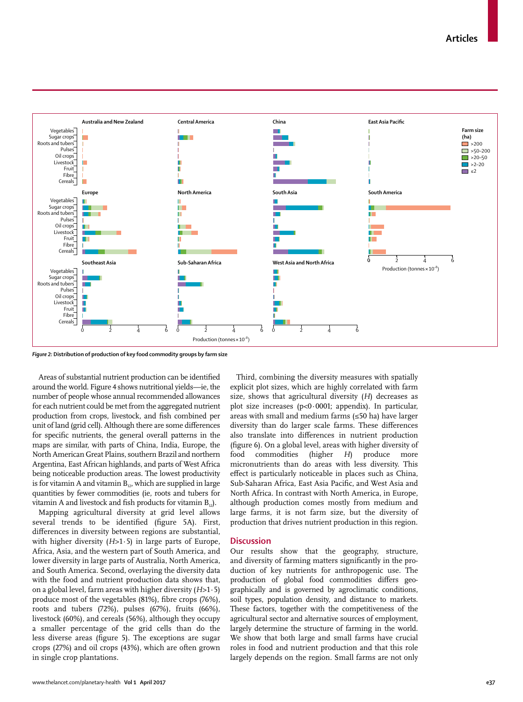

*Figure 2:* **Distribution of production of key food commodity groups by farm size**

Areas of substantial nutrient production can be identified around the world. Figure 4 shows nutritional yields—ie, the number of people whose annual recommended allowances for each nutrient could be met from the aggregated nutrient production from crops, livestock, and fish combined per unit of land (grid cell). Although there are some differences for specific nutrients, the general overall patterns in the maps are similar, with parts of China, India, Europe, the North American Great Plains, southern Brazil and northern Argentina, East African highlands, and parts of West Africa being noticeable production areas. The lowest productivity is for vitamin A and vitamin  $B_{12}$ , which are supplied in large quantities by fewer commodities (ie, roots and tubers for vitamin A and livestock and fish products for vitamin  $B_{12}$ ).

Mapping agricultural diversity at grid level allows several trends to be identified (figure 5A). First, differences in diversity between regions are substantial, with higher diversity (*H*>1·5) in large parts of Europe, Africa, Asia, and the western part of South America, and lower diversity in large parts of Australia, North America, and South America. Second, overlaying the diversity data with the food and nutrient production data shows that, on a global level, farm areas with higher diversity (*H*>1·5) produce most of the vegetables (81%), fibre crops (76%), roots and tubers (72%), pulses (67%), fruits (66%), livestock (60%), and cereals (56%), although they occupy a smaller percentage of the grid cells than do the less diverse areas (figure 5). The exceptions are sugar crops (27%) and oil crops (43%), which are often grown in single crop plantations.

Third, combining the diversity measures with spatially explicit plot sizes, which are highly correlated with farm size, shows that agricultural diversity (*H*) decreases as plot size increases (p<0·0001; appendix). In particular, areas with small and medium farms (≤50 ha) have larger diversity than do larger scale farms. These differences also translate into differences in nutrient production (figure 6). On a global level, areas with higher diversity of food commodities (higher *H*) produce more micronutrients than do areas with less diversity. This effect is particularly noticeable in places such as China, Sub-Saharan Africa, East Asia Pacific, and West Asia and North Africa. In contrast with North America, in Europe, although production comes mostly from medium and large farms, it is not farm size, but the diversity of production that drives nutrient production in this region.

## **Discussion**

Our results show that the geography, structure, and diversity of farming matters significantly in the production of key nutrients for anthropogenic use. The production of global food commodities differs geographically and is governed by agroclimatic conditions, soil types, population density, and distance to markets. These factors, together with the competitiveness of the agricultural sector and alternative sources of employment, largely determine the structure of farming in the world. We show that both large and small farms have crucial roles in food and nutrient production and that this role largely depends on the region. Small farms are not only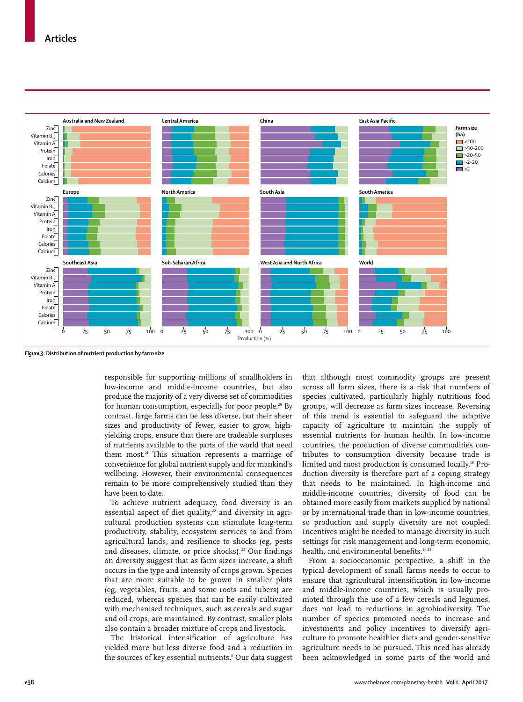

*Figure 3:* **Distribution of nutrient production by farm size**

responsible for supporting millions of smallholders in low-income and middle-income countries, but also produce the majority of a very diverse set of commodities for human consumption, especially for poor people.<sup>20</sup> By contrast, large farms can be less diverse, but their sheer sizes and productivity of fewer, easier to grow, highyielding crops, ensure that there are tradeable surpluses of nutrients available to the parts of the world that need them most.<sup>21</sup> This situation represents a marriage of convenience for global nutrient supply and for mankind's wellbeing. However, their environmental consequences remain to be more comprehensively studied than they have been to date.

To achieve nutrient adequacy, food diversity is an essential aspect of diet quality, $22$  and diversity in agricultural production systems can stimulate long-term productivity, stability, ecosystem services to and from agricultural lands, and resilience to shocks (eg, pests and diseases, climate, or price shocks).<sup>23</sup> Our findings on diversity suggest that as farm sizes increase, a shift occurs in the type and intensity of crops grown. Species that are more suitable to be grown in smaller plots (eg, vegetables, fruits, and some roots and tubers) are reduced, whereas species that can be easily cultivated with mechanised techniques, such as cereals and sugar and oil crops, are maintained. By contrast, smaller plots also contain a broader mixture of crops and livestock.

The historical intensification of agriculture has yielded more but less diverse food and a reduction in the sources of key essential nutrients.<sup>8</sup> Our data suggest that although most commodity groups are present across all farm sizes, there is a risk that numbers of species cultivated, particularly highly nutritious food groups, will decrease as farm sizes increase. Reversing of this trend is essential to safeguard the adaptive capacity of agriculture to maintain the supply of essential nutrients for human health. In low-income countries, the production of diverse commodities contributes to consumption diversity because trade is limited and most production is consumed locally.19 Production diversity is therefore part of a coping strategy that needs to be maintained. In high-income and middle-income countries, diversity of food can be obtained more easily from markets supplied by national or by international trade than in low-income countries, so production and supply diversity are not coupled. Incentives might be needed to manage diversity in such settings for risk management and long-term economic, health, and environmental benefits.<sup>24,25</sup>

From a socioeconomic perspective, a shift in the typical development of small farms needs to occur to ensure that agricultural intensification in low-income and middle-income countries, which is usually promoted through the use of a few cereals and legumes, does not lead to reductions in agrobiodiversity. The number of species promoted needs to increase and investments and policy incentives to diversify agriculture to promote healthier diets and gender-sensitive agriculture needs to be pursued. This need has already been acknowledged in some parts of the world and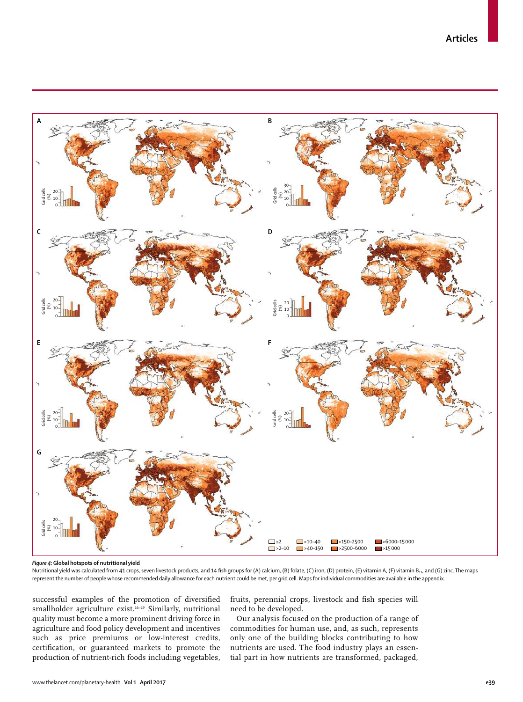

*Figure 4:* **Global hotspots of nutritional yield**

Nutritional yield was calculated from 41 crops, seven livestock products, and 14 fish groups for (A) calcium, (B) folate, (C) iron, (D) protein, (E) vitamin A, (F) vitamin B12, and (G) zinc. The maps represent the number of people whose recommended daily allowance for each nutrient could be met, per grid cell. Maps for individual commodities are available in the appendix.

successful examples of the promotion of diversified smallholder agriculture exist.<sup>26-29</sup> Similarly, nutritional quality must become a more prominent driving force in agriculture and food policy development and incentives such as price premiums or low-interest credits, certification, or guaranteed markets to promote the production of nutrient-rich foods including vegetables, fruits, perennial crops, livestock and fish species will need to be developed.

Our analysis focused on the production of a range of commodities for human use, and, as such, represents only one of the building blocks contributing to how nutrients are used. The food industry plays an essential part in how nutrients are transformed, packaged,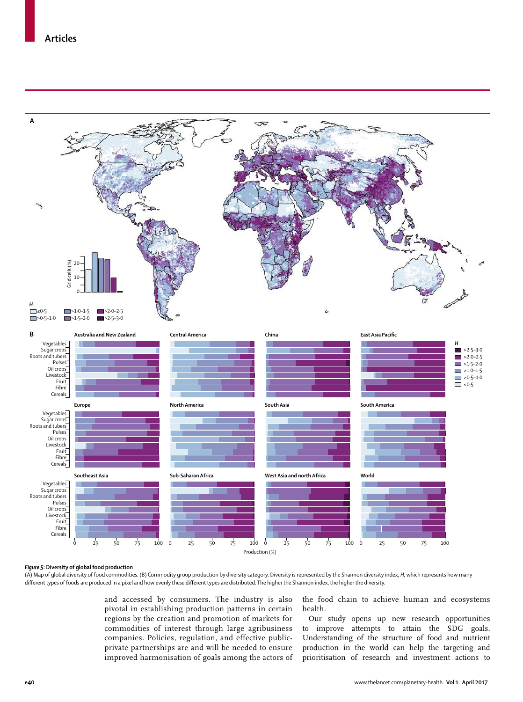

### *Figure 5:* **Diversity of global food production**

(A) Map of global diversity of food commodities. (B) Commodity group production by diversity category. Diversity is represented by the Shannon diversity index, *H*, which represents how many different types of foods are produced in a pixel and how evenly these different types are distributed. The higher the Shannon index, the higher the diversity.

> and accessed by consumers. The industry is also pivotal in establishing production patterns in certain regions by the creation and promotion of markets for commodities of interest through large agribusiness companies. Policies, regulation, and effective publicprivate partnerships are and will be needed to ensure improved harmonisation of goals among the actors of

the food chain to achieve human and ecosystems health.

Our study opens up new research opportunities to improve attempts to attain the SDG goals. Understanding of the structure of food and nutrient production in the world can help the targeting and prioritisation of research and investment actions to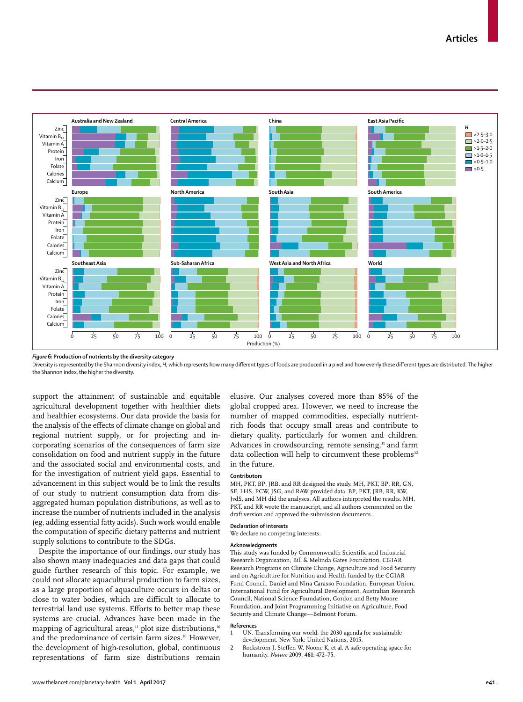

*Figure 6:* **Production of nutrients by the diversity category**

Diversity is represented by the Shannon diversity index, *H*, which represents how many different types of foods are produced in a pixel and how evenly these different types are distributed. The higher the Shannon index, the higher the diversity.

support the attainment of sustainable and equitable agricultural development together with healthier diets and healthier ecosystems. Our data provide the basis for the analysis of the effects of climate change on global and regional nutrient supply, or for projecting and incorporating scenarios of the consequences of farm size consolidation on food and nutrient supply in the future and the associated social and environmental costs, and for the investigation of nutrient yield gaps. Essential to advancement in this subject would be to link the results of our study to nutrient consumption data from disaggregated human population distributions, as well as to increase the number of nutrients included in the analysis (eg, adding essential fatty acids). Such work would enable the computation of specific dietary patterns and nutrient supply solutions to contribute to the SDGs.

Despite the importance of our findings, our study has also shown many inadequacies and data gaps that could guide further research of this topic. For example, we could not allocate aquacultural production to farm sizes, as a large proportion of aquaculture occurs in deltas or close to water bodies, which are difficult to allocate to terrestrial land use systems. Efforts to better map these systems are crucial. Advances have been made in the mapping of agricultural areas,<sup>11</sup> plot size distributions,<sup>16</sup> and the predominance of certain farm sizes.<sup>30</sup> However, the development of high-resolution, global, continuous representations of farm size distributions remain elusive. Our analyses covered more than 85% of the global cropped area. However, we need to increase the number of mapped commodities, especially nutrientrich foods that occupy small areas and contribute to dietary quality, particularly for women and children. Advances in crowdsourcing, remote sensing, $31$  and farm data collection will help to circumvent these problems<sup>32</sup> in the future.

#### **Contributors**

MH, PKT, BP, JRB, and RR designed the study. MH, PKT, BP, RR, GN, SF, LHS, PCW, JSG, and RAW provided data. BP, PKT, JRB, RR, KW, JvdS, and MH did the analyses. All authors interpreted the results. MH, PKT, and RR wrote the manuscript, and all authors commented on the draft version and approved the submission documents.

#### **Declaration of interests**

We declare no competing interests.

#### **Acknowledgments**

This study was funded by Commonwealth Scientific and Industrial Research Organisation, Bill & Melinda Gates Foundation, CGIAR Research Programs on Climate Change, Agriculture and Food Security and on Agriculture for Nutrition and Health funded by the CGIAR Fund Council, Daniel and Nina Carasso Foundation, European Union, International Fund for Agricultural Development, Australian Research Council, National Science Foundation, Gordon and Betty Moore Foundation, and Joint Programming Initiative on Agriculture, Food Security and Climate Change—Belmont Forum.

#### **References**

- 1 UN. Transforming our world: the 2030 agenda for sustainable development. New York: United Nations, 2015.
- 2 Rockström J, Steffen W, Noone K, et al. A safe operating space for humanity. *Nature* 2009; **461:** 472–75.